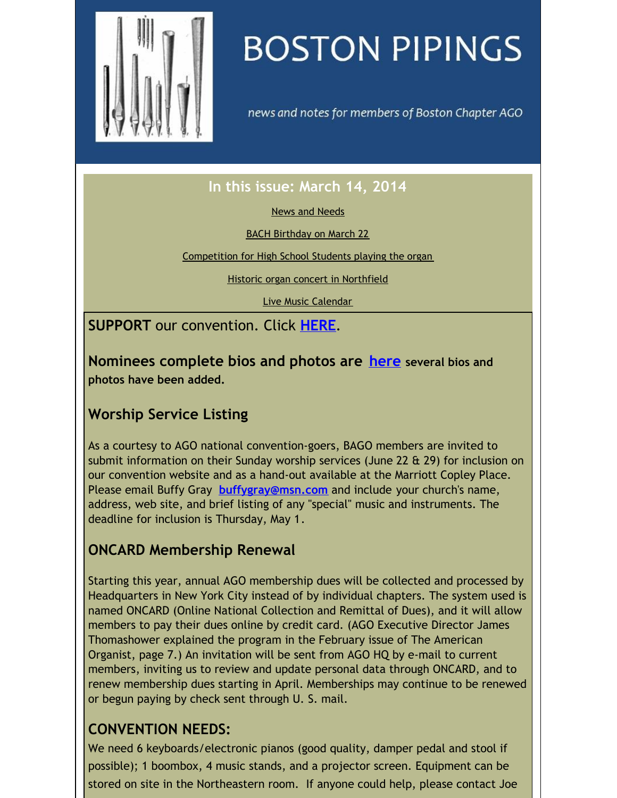<span id="page-0-0"></span>

# **BOSTON PIPINGS**

news and notes for members of Boston Chapter AGO

## **In this issue: March 14, 2014**

News and [Needs](#page-0-0)

BACH [Birthday](#page-0-0) on March 22

[Competition](#page-0-0) for High School Students playing the organ

Historic organ concert in [Northfield](#page-0-0)

Live Music [Calendar](#page-0-0)

**SUPPORT** our convention. Click **[HERE](http://www.agoboston2014.org/support/)**.

**Nominees complete bios and photos are [here](https://origin.library.constantcontact.com/doc208/1105786651064/doc/0VtNJG6DPJ6nlcIt.pdf) several bios and photos have been added.**

## **Worship Service Listing**

As a courtesy to AGO national convention-goers, BAGO members are invited to submit information on their Sunday worship services (June 22 & 29) for inclusion on our convention website and as a hand-out available at the Marriott Copley Place. Please email Buffy Gray **[buffygray@msn.com](mailto:buffygray@msn.com)** and include your church's name, address, web site, and brief listing of any "special" music and instruments. The deadline for inclusion is Thursday, May 1.

## **ONCARD Membership Renewal**

Starting this year, annual AGO membership dues will be collected and processed by Headquarters in New York City instead of by individual chapters. The system used is named ONCARD (Online National Collection and Remittal of Dues), and it will allow members to pay their dues online by credit card. (AGO Executive Director James Thomashower explained the program in the February issue of The American Organist, page 7.) An invitation will be sent from AGO HQ by e-mail to current members, inviting us to review and update personal data through ONCARD, and to renew membership dues starting in April. Memberships may continue to be renewed or begun paying by check sent through U. S. mail.

#### **CONVENTION NEEDS:**

We need 6 keyboards/electronic pianos (good quality, damper pedal and stool if possible); 1 boombox, 4 music stands, and a projector screen. Equipment can be stored on site in the Northeastern room. If anyone could help, please contact Joe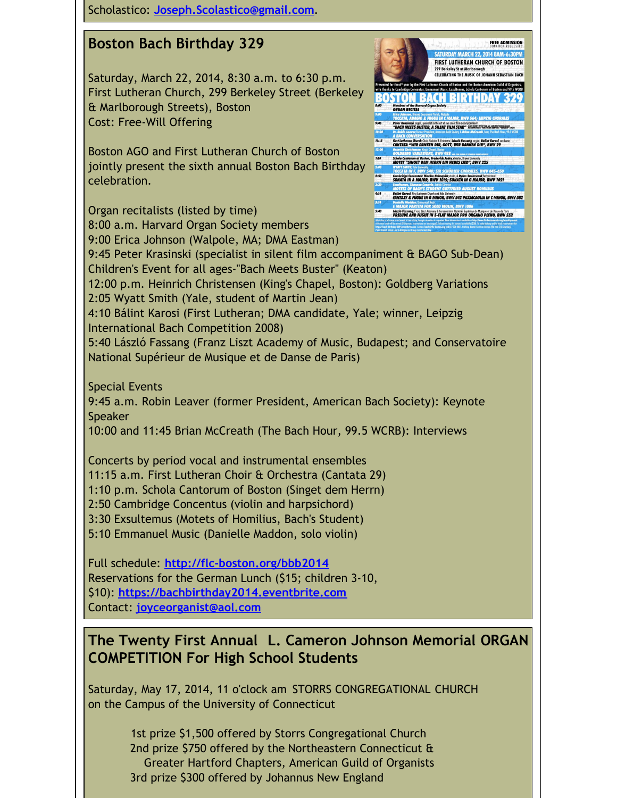Scholastico: **[Joseph.Scolastico@gmail.com](mailto:Joseph.Scolastico@gmail.com)**.

#### **Boston Bach Birthday 329**

Saturday, March 22, 2014, 8:30 a.m. to 6:30 p.m. First Lutheran Church, 299 Berkeley Street (Berkeley & Marlborough Streets), Boston Cost: Free-Will Offering

Boston AGO and First Lutheran Church of Boston jointly present the sixth annual Boston Bach Birthday celebration.

Organ recitalists (listed by time) Laszló Fassang, Franz Liszt Academy & Conservatoire National Supérieur de Musique et de Danse de Paris<br>PRELUDE AND FUGUE IN E-FLAT MAJOR PRO ORGANO PLENO, BWV 552 8:00 a.m. Harvard Organ Society members 9:00 Erica Johnson (Walpole, MA; DMA Eastman) 9:45 Peter Krasinski (specialist in silent film accompaniment & BAGO Sub-Dean) Children's Event for all ages-"Bach Meets Buster" (Keaton) 12:00 p.m. Heinrich Christensen (King's Chapel, Boston): Goldberg Variations 2:05 Wyatt Smith (Yale, student of Martin Jean) 4:10 Bálint Karosi (First Lutheran; DMA candidate, Yale; winner, Leipzig International Bach Competition 2008) 5:40 László Fassang (Franz Liszt Academy of Music, Budapest; and Conservatoire National Supérieur de Musique et de Danse de Paris)

**CATHRIDAY MARCH 22 2014 RAN FIRST LUTHERAN CHURCH OF BOSTON G THE MUSIC OF JOHANN SEBASTIAN BACK** 

<u>STON BACH BIRTHDA</u>

First Lutheran Church Choir, Soloists & Orchestre, László Fassang, organ; Bálint Karosi, co<br>CANTATA "WIR DANKEN DIR, GOTT, WIR DANKEN DIR", BWV 29 ola Cantorum of Boston, Frederick Jodry, drettar, Brown University<br>ITET <mark>"SINGET DEM HERRN EIN NEUES LIED", BWV 225</mark> Cambridge Concentus: Marika Holmqvist, viela, & Dylan Sauerwald, hersichod<br>SONATA IN A MAJOR, BWV 1015; SONATA IN G MAJOR, BWV 1021

**Peter Krasinski, organ, specialist in the ort of live silent film accomponiment**<br>"BACH MEETS BUSTER, A SILENT FILM STAR" ACCOMMENT

**GUE IN C MAJOR, BWV 564; LEIF** 

FANTASY & FUGUE IN G MINOR, BWV 542 PASSACAGLIA IN C MINOR, BWV 582

Special Events 9:45 a.m. Robin Leaver (former President, American Bach Society): Keynote Speaker 10:00 and 11:45 Brian McCreath (The Bach Hour, 99.5 WCRB): Interviews

Concerts by period vocal and instrumental ensembles 11:15 a.m. First Lutheran Choir & Orchestra (Cantata 29) 1:10 p.m. Schola Cantorum of Boston (Singet dem Herrn) 2:50 Cambridge Concentus (violin and harpsichord) 3:30 Exsultemus (Motets of Homilius, Bach's Student) 5:10 Emmanuel Music (Danielle Maddon, solo violin)

Full schedule: **<http://flc-boston.org/bbb2014>** Reservations for the German Lunch (\$15; children 3-10, \$10): **<https://bachbirthday2014.eventbrite.com>** Contact: **[joyceorganist@aol.com](mailto:joyceorganist@aol.com)**

#### **The Twenty First Annual L. Cameron Johnson Memorial ORGAN COMPETITION For High School Students**

Saturday, May 17, 2014, 11 o'clock am STORRS CONGREGATIONAL CHURCH on the Campus of the University of Connecticut

> 1st prize \$1,500 offered by Storrs Congregational Church 2nd prize \$750 offered by the Northeastern Connecticut & Greater Hartford Chapters, American Guild of Organists 3rd prize \$300 offered by Johannus New England